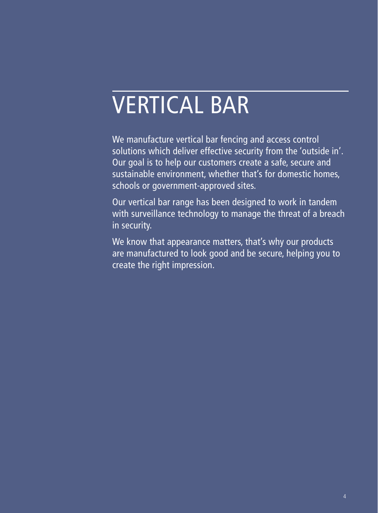# VERTICAL BAR

We manufacture vertical bar fencing and access control solutions which deliver effective security from the 'outside in'. Our goal is to help our customers create a safe, secure and sustainable environment, whether that's for domestic homes, schools or government-approved sites.

Our vertical bar range has been designed to work in tandem with surveillance technology to manage the threat of a breach in security.

We know that appearance matters, that's why our products are manufactured to look good and be secure, helping you to create the right impression.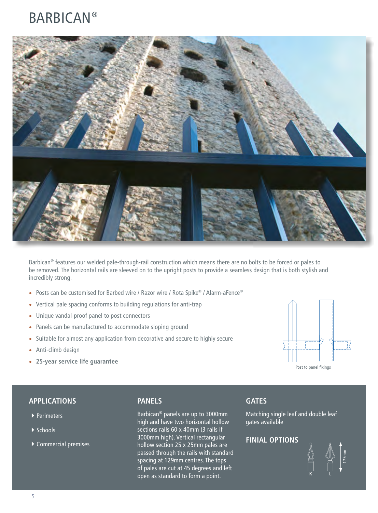### BARBICAN®



Barbican<sup>®</sup> features our welded pale-through-rail construction which means there are no bolts to be forced or pales to be removed. The horizontal rails are sleeved on to the upright posts to provide a seamless design that is both stylish and incredibly strong.

- Posts can be customised for Barbed wire / Razor wire / Rota Spike® / Alarm-aFence®
- Vertical pale spacing conforms to building regulations for anti-trap
- Unique vandal-proof panel to post connectors
- Panels can be manufactured to accommodate sloping ground
- Suitable for almost any application from decorative and secure to highly secure
- Anti-climb design
- **25-year service life guarantee**



#### **APPLICATIONS**

- ▶ Perimeters
- $\blacktriangleright$  Schools
- $\blacktriangleright$  Commercial premises

#### **PANELS**

Barbican® panels are up to 3000mm high and have two horizontal hollow sections rails 60 x 40mm (3 rails if 3000mm high). Vertical rectangular hollow section 25 x 25mm pales are passed through the rails with standard spacing at 129mm centres. The tops of pales are cut at 45 degrees and left open as standard to form a point.

#### **GATES**

Matching single leaf and double leaf gates available

#### **FINIAL OPTIONS**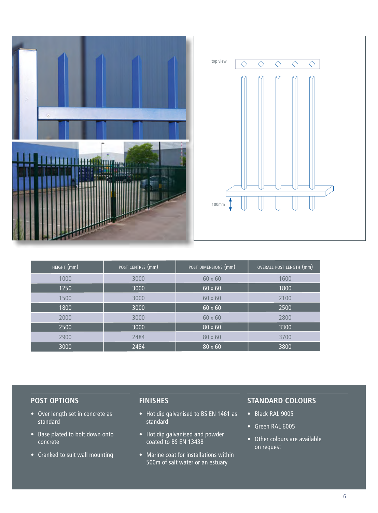

| HEIGHT (mm) | POST CENTRES (mm) | POST DIMENSIONS (mm) | OVERALL POST LENGTH (mm) |
|-------------|-------------------|----------------------|--------------------------|
| 1000        | 3000              | 60 x 60              | 1600                     |
| 1250        | 3000              | $60 \times 60$       | 1800                     |
| 1500        | 3000              | 60 x 60              | 2100                     |
| 1800        | 3000              | $60 \times 60$       | 2500                     |
| 2000        | 3000              | 60 x 60              | 2800                     |
| 2500        | 3000              | $80 \times 60$       | 3300                     |
| 2900        | 2484              | $80 \times 60$       | 3700                     |
| 3000        | 2484              | 80 x 60              | 3800                     |

- Over length set in concrete as standard
- Base plated to bolt down onto concrete
- Cranked to suit wall mounting

### **FINISHES**

- Hot dip galvanised to BS EN 1461 as standard
- Hot dip galvanised and powder coated to BS EN 13438
- Marine coat for installations within 500m of salt water or an estuary

- Black RAL 9005
- Green RAL 6005
- Other colours are available on request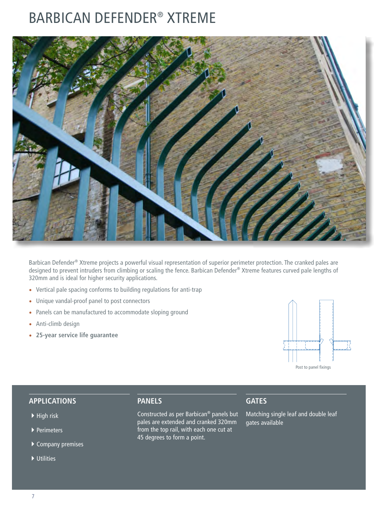## BARBICAN DEFENDER® XTREME



Barbican Defender® Xtreme projects a powerful visual representation of superior perimeter protection. The cranked pales are designed to prevent intruders from climbing or scaling the fence. Barbican Defender® Xtreme features curved pale lengths of 320mm and is ideal for higher security applications.

- Vertical pale spacing conforms to building regulations for anti-trap
- Unique vandal-proof panel to post connectors
- Panels can be manufactured to accommodate sloping ground
- Anti-climb design
- **25-year service life guarantee**



#### **APPLICATIONS**

- $\blacktriangleright$  High risk
- $\blacktriangleright$  Perimeters
- $\overline{\blacktriangleright}$  Company premises
- $\blacktriangleright$  Utilities

#### **PANELS**

Constructed as per Barbican® panels but pales are extended and cranked 320mm from the top rail, with each one cut at 45 degrees to form a point.

#### **GATES**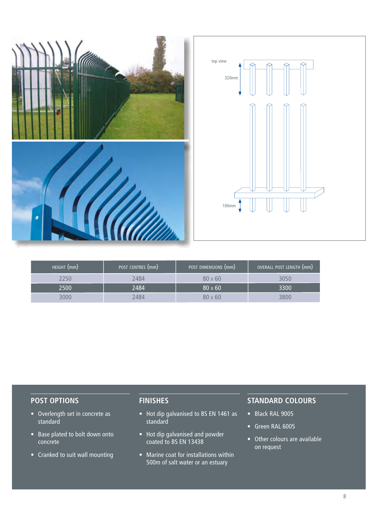

| HEIGHT (mm) | POST CENTRES (mm) | POST DIMENSIONS (mm) | OVERALL POST LENGTH (mm) |
|-------------|-------------------|----------------------|--------------------------|
| 2250        | 2484              | $80 \times 60$       | 3050                     |
| 2500        | 2484              | $80 \times 60$       | 3300                     |
| 3000        | 2484              | $80 \times 60$       | 3800                     |

- Overlength set in concrete as standard
- Base plated to bolt down onto concrete
- Cranked to suit wall mounting

#### **FINISHES**

- Hot dip galvanised to BS EN 1461 as standard
- Hot dip galvanised and powder coated to BS EN 13438
- Marine coat for installations within 500m of salt water or an estuary

- Black RAL 9005
- Green RAL 6005
- Other colours are available on request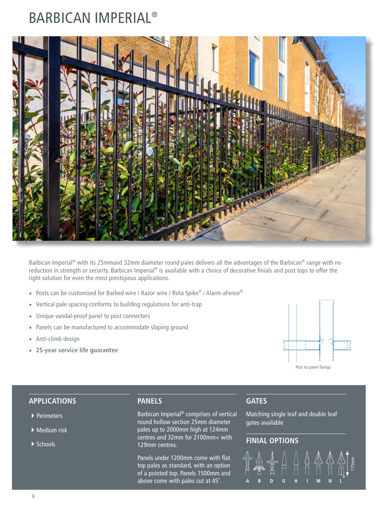### BARBICAN IMPERIAL®



Barbican Imperial<sup>®</sup> with its 25mmand 32mm diameter round pales delivers all the advantages of the Barbican<sup>®</sup> range with no reduction in strength or security. Barbican Imperial® is available with a choice of decorative finials and post tops to offer the right solution for even the most prestigious applications.

- Posts can be customised for Barbed wire / Razor wire / Rota Spike® / Alarm-aFence®
- Vertical pale spacing conforms to building regulations for anti-trap
- Unique vandal-proof panel to post connectors
- Panels can be manufactured to accommodate sloping ground
- Anti-climb design
- **25-year service life guarantee**



#### **APPLICATIONS**

- $\rightarrow$  Perimeters
- $\blacktriangleright$  Medium risk
- $\blacktriangleright$  Schools

#### **PANELS**

Barbican Imperial® comprises of vertical round hollow section 25mm diameter pales up to 2000mm high at 124mm centres and 32mm for 2100mm+ with 129mm centres.

Panels under 1200mm come with flat top pales as standard, with an option of a pointed top. Panels 1500mm and above come with pales cut at 45˚.

#### **GATES**

Matching single leaf and double leaf gates available

#### **FINIAL OPTIONS**

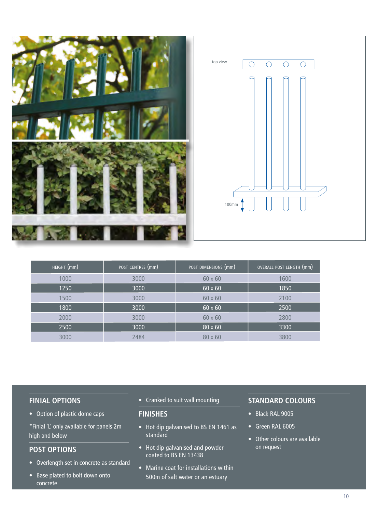

| HEIGHT (mm) | POST CENTRES (mm) | POST DIMENSIONS (mm) | OVERALL POST LENGTH (mm) |
|-------------|-------------------|----------------------|--------------------------|
| 1000        | 3000              | $60 \times 60$       | 1600                     |
| 1250        | 3000              | $60 \times 60$       | 1850                     |
| 1500        | 3000              | $60 \times 60$       | 2100                     |
| 1800        | 3000              | $60 \times 60$       | 2500                     |
| 2000        | 3000              | 60 x 60              | 2800                     |
| 2500        | 3000              | $80 \times 60$       | 3300                     |
| 3000        | 2484              | $80 \times 60$       | 3800                     |

#### **FINIAL OPTIONS**

• Option of plastic dome caps

\*Finial 'L' only available for panels 2m high and below

#### **POST OPTIONS**

- Overlength set in concrete as standard
- Base plated to bolt down onto concrete

• Cranked to suit wall mounting

#### **FINISHES**

- Hot dip galvanised to BS EN 1461 as standard
- Hot dip galvanised and powder coated to BS EN 13438
- Marine coat for installations within 500m of salt water or an estuary

- Black RAL 9005
- Green RAL 6005
- Other colours are available on request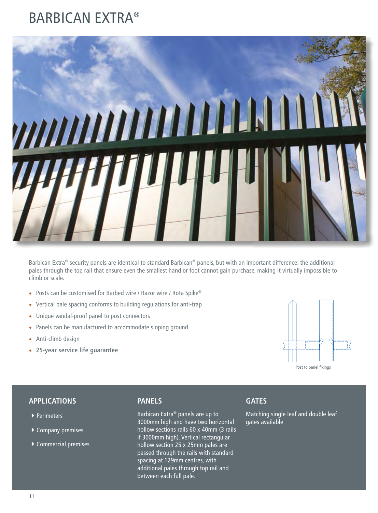### BARBICAN EXTRA®



Barbican Extra® security panels are identical to standard Barbican® panels, but with an important difference: the additional pales through the top rail that ensure even the smallest hand or foot cannot gain purchase, making it virtually impossible to climb or scale.

- Posts can be customised for Barbed wire / Razor wire / Rota Spike®
- Vertical pale spacing conforms to building regulations for anti-trap
- Unique vandal-proof panel to post connectors
- Panels can be manufactured to accommodate sloping ground
- Anti-climb design
- **25-year service life guarantee**



#### **APPLICATIONS**

- ▶ Perimeters
- $\blacktriangleright$  Company premises
- $\blacktriangleright$  Commercial premises

#### **PANELS**

Barbican Extra® panels are up to 3000mm high and have two horizontal hollow sections rails 60 x 40mm (3 rails if 3000mm high). Vertical rectangular hollow section 25 x 25mm pales are passed through the rails with standard spacing at 129mm centres, with additional pales through top rail and between each full pale.

#### **GATES**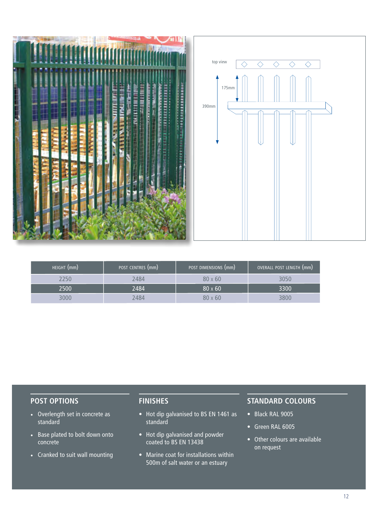

| HEIGHT (mm) | POST CENTRES (mm) | POST DIMENSIONS (mm) | OVERALL POST LENGTH (mm) |
|-------------|-------------------|----------------------|--------------------------|
| 2250.       | 2484              | $80 \times 60$       | 3050                     |
| 2500        | 2484              | $80 \times 60$       | 3300                     |
| 3000        | 2484              | $80 \times 60$       | 3800                     |

- Overlength set in concrete as standard
- Base plated to bolt down onto concrete
- Cranked to suit wall mounting

#### **FINISHES**

- Hot dip galvanised to BS EN 1461 as standard
- Hot dip galvanised and powder coated to BS EN 13438
- Marine coat for installations within 500m of salt water or an estuary

- Black RAL 9005
- Green RAL 6005
- Other colours are available on request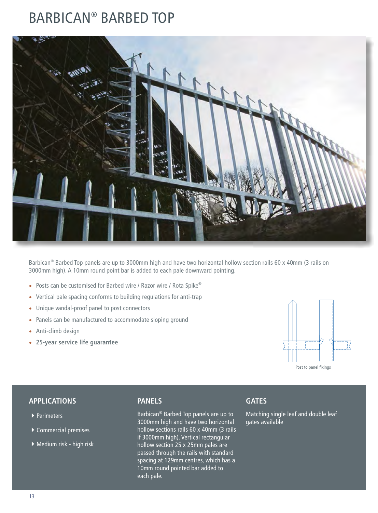### BARBICAN® BARBED TOP



Barbican<sup>®</sup> Barbed Top panels are up to 3000mm high and have two horizontal hollow section rails 60 x 40mm (3 rails on 3000mm high). A 10mm round point bar is added to each pale downward pointing.

- Posts can be customised for Barbed wire / Razor wire / Rota Spike®
- Vertical pale spacing conforms to building regulations for anti-trap
- Unique vandal-proof panel to post connectors
- Panels can be manufactured to accommodate sloping ground
- Anti-climb design
- **25-year service life guarantee**



#### **APPLICATIONS**

- ▶ Perimeters
- $\blacktriangleright$  Commercial premises
- $\blacktriangleright$  Medium risk high risk

#### **PANELS**

Barbican® Barbed Top panels are up to 3000mm high and have two horizontal hollow sections rails 60 x 40mm (3 rails if 3000mm high). Vertical rectangular hollow section 25 x 25mm pales are passed through the rails with standard spacing at 129mm centres, which has a 10mm round pointed bar added to each pale.

#### **GATES**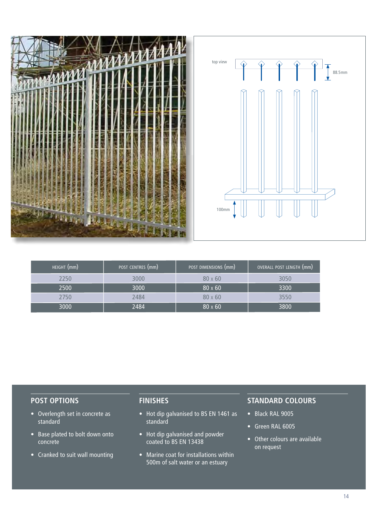

| HEIGHT (mm) | POST CENTRES (mm) | POST DIMENSIONS (mm) | OVERALL POST LENGTH (mm) |
|-------------|-------------------|----------------------|--------------------------|
| 2250        | 3000              | $80 \times 60$       | 3050                     |
| 2500        | 3000              | $80 \times 60$       | 3300                     |
| 2750        | 2484              | $80 \times 60$       | 3550                     |
| 3000        | 2484              | $80 \times 60$       | 3800                     |

- Overlength set in concrete as standard
- Base plated to bolt down onto concrete
- Cranked to suit wall mounting

#### **FINISHES**

- Hot dip galvanised to BS EN 1461 as standard
- Hot dip galvanised and powder coated to BS EN 13438
- Marine coat for installations within 500m of salt water or an estuary

- Black RAL 9005
- Green RAL 6005
- Other colours are available on request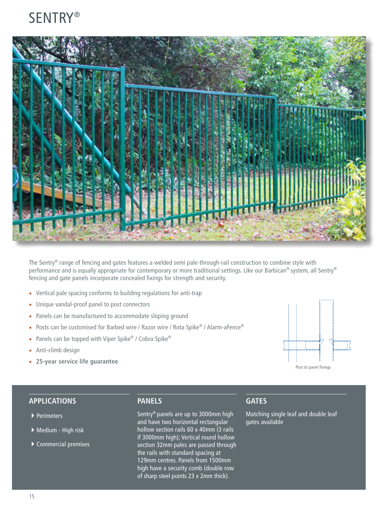

The Sentry<sup>®</sup> range of fencing and gates features a welded semi pale-through-rail construction to combine style with performance and is equally appropriate for contemporary or more traditional settings. Like our Barbican® system, all Sentry® fencing and gate panels incorporate concealed fixings for strength and security.

- Vertical pale spacing conforms to building regulations for anti-trap
- Unique vandal-proof panel to post connectors
- Panels can be manufactured to accommodate sloping ground
- Posts can be customised for Barbed wire / Razor wire / Rota Spike® / Alarm-aFence®
- Panels can be topped with Viper Spike® / Cobra Spike®
- Anti-climb design
- **25-year service life guarantee**



#### **APPLICATIONS**

- ▶ Perimeters
- ▶ Medium High risk
- $\blacktriangleright$  Commercial premises

#### **PANELS**

Sentry® panels are up to 3000mm high and have two horizontal rectangular hollow section rails 60 x 40mm (3 rails if 3000mm high); Vertical round hollow section 32mm pales are passed through the rails with standard spacing at 129mm centres. Panels from 1500mm high have a security comb (double row of sharp steel points 23 x 2mm thick).

#### **GATES**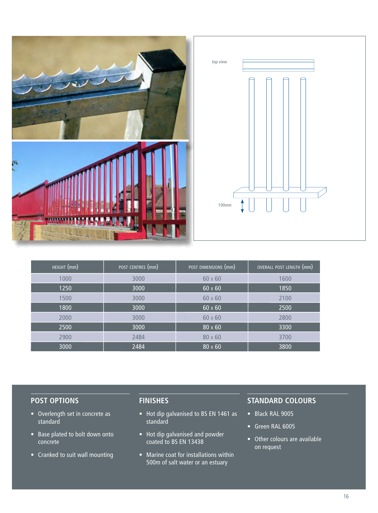

| HEIGHT (mm) | POST CENTRES (mm) | POST DIMENSIONS (mm) | OVERALL POST LENGTH (mm) |
|-------------|-------------------|----------------------|--------------------------|
| 1000        | 3000              | $60 \times 60$       | 1600                     |
| 1250        | 3000              | $60 \times 60$       | 1850                     |
| 1500        | 3000              | $60 \times 60$       | 2100                     |
| 1800        | 3000              | $60 \times 60$       | 2500                     |
| 2000        | 3000              | $60 \times 60$       | 2800                     |
| 2500        | 3000              | $80 \times 60$       | 3300                     |
| 2900        | 2484              | $80 \times 60$       | 3700                     |
| 3000        | 2484              | $80 \times 60$       | 3800                     |

- Overlength set in concrete as standard
- Base plated to bolt down onto concrete
- Cranked to suit wall mounting

### **FINISHES**

- Hot dip galvanised to BS EN 1461 as standard
- Hot dip galvanised and powder coated to BS EN 13438
- Marine coat for installations within 500m of salt water or an estuary

- Black RAL 9005
- Green RAL 6005
- Other colours are available on request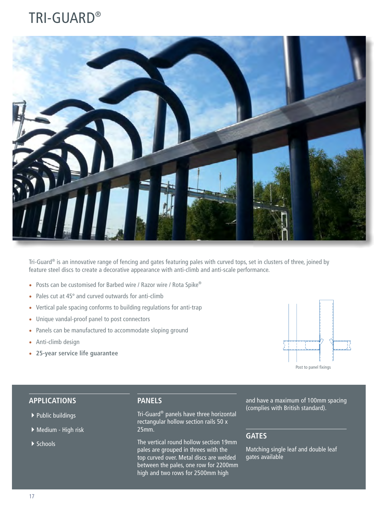## TRI-GUARD®



Tri-Guard® is an innovative range of fencing and gates featuring pales with curved tops, set in clusters of three, joined by feature steel discs to create a decorative appearance with anti-climb and anti-scale performance.

- Posts can be customised for Barbed wire / Razor wire / Rota Spike®
- Pales cut at 45º and curved outwards for anti-climb
- Vertical pale spacing conforms to building regulations for anti-trap
- Unique vandal-proof panel to post connectors
- Panels can be manufactured to accommodate sloping ground
- Anti-climb design
- **25-year service life guarantee**



#### **APPLICATIONS**

- $\blacktriangleright$  Public buildings
- ▶ Medium High risk
- $\blacktriangleright$  Schools

#### **PANELS**

Tri-Guard® panels have three horizontal rectangular hollow section rails 50 x 25mm.

The vertical round hollow section 19mm pales are grouped in threes with the top curved over. Metal discs are welded between the pales, one row for 2200mm high and two rows for 2500mm high

and have a maximum of 100mm spacing (complies with British standard).

#### **GATES**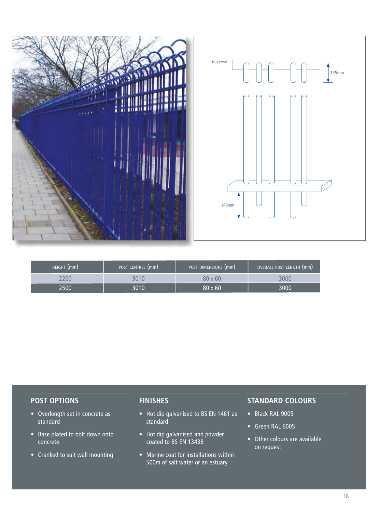

| HEIGHT (mm) | POST CENTRES (mm) | POST DIMENSIONS (mm) | OVERALL POST LENGTH (mm) |
|-------------|-------------------|----------------------|--------------------------|
|             |                   | $80 \times 60$       | 3000                     |
| 2500        | 8010              | $80 \times 60$       | 3000                     |

- Overlength set in concrete as standard
- Base plated to bolt down onto concrete
- Cranked to suit wall mounting

#### **FINISHES**

- Hot dip galvanised to BS EN 1461 as standard
- Hot dip galvanised and powder coated to BS EN 13438
- Marine coat for installations within 500m of salt water or an estuary

- Black RAL 9005
- Green RAL 6005
- Other colours are available on request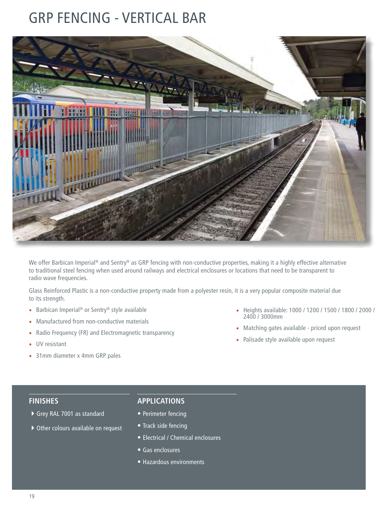### GRP FENCING - VERTICAL BAR



We offer Barbican Imperial® and Sentry® as GRP fencing with non-conductive properties, making it a highly effective alternative to traditional steel fencing when used around railways and electrical enclosures or locations that need to be transparent to radio wave frequencies.

Glass Reinforced Plastic is a non-conductive property made from a polyester resin, it is a very popular composite material due to its strength.

- Barbican Imperial® or Sentry® style available
- Manufactured from non-conductive materials
- Radio Frequency (FR) and Electromagnetic transparency
- UV resistant
- 31mm diameter x 4mm GRP pales
- Heights available: 1000 / 1200 / 1500 / 1800 / 2000 / 2400 / 3000mm
- Matching gates available priced upon request
- Palisade style available upon request

#### **FINISHES**

- **APPLICATIONS**
- 4Grey RAL 7001 as standard
- ▶ Other colours available on request

- Perimeter fencing
- Track side fencing
- Electrical / Chemical enclosures
- Gas enclosures
- Hazardous environments